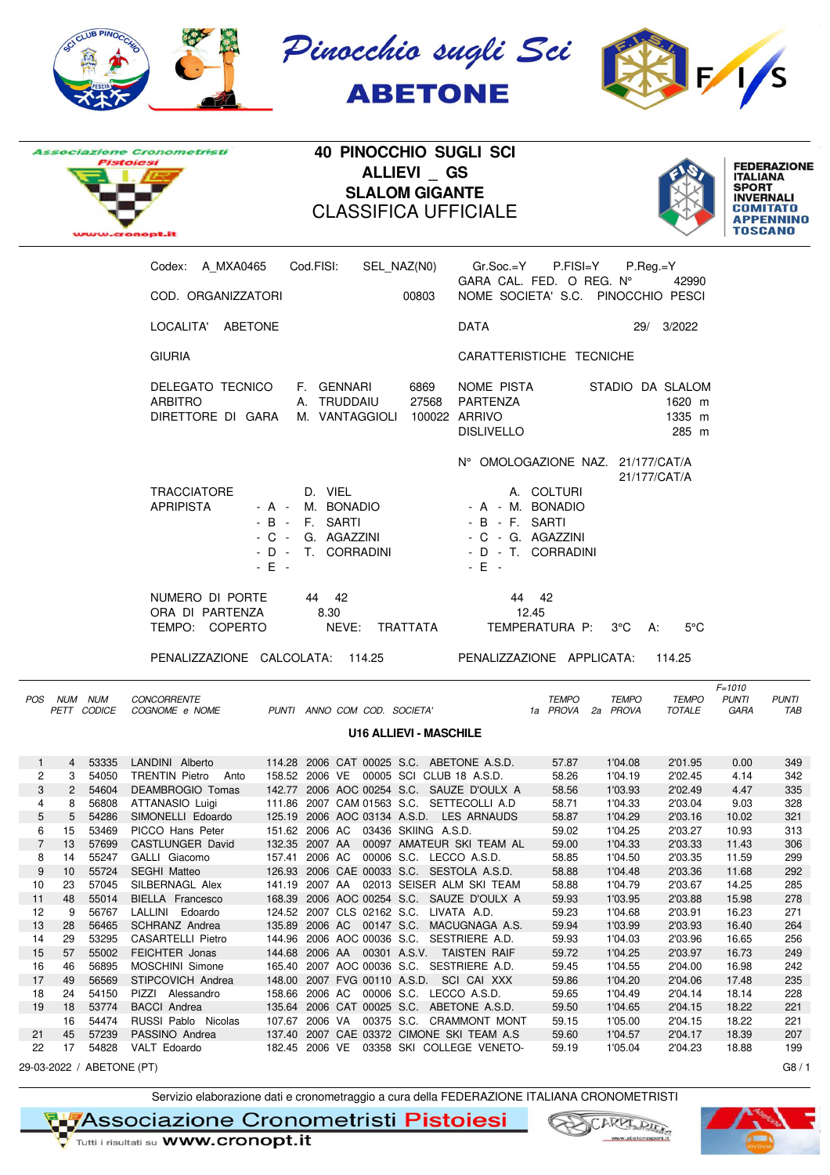







**40 PINOCCHIO SUGLI SCI ALLIEVI \_ GS SLALOM GIGANTE** CLASSIFICA UFFICIALE



|                |                 |             | Codex: A_MXA0465    Cod.FISI:    SEL_NAZ(N0)    Gr.Soc.=Y    P.FISI=Y |                                                                                                    |                |                                      |                                                                     |                                    | P.Reg.=Y         |                                               |                                    |                     |
|----------------|-----------------|-------------|-----------------------------------------------------------------------|----------------------------------------------------------------------------------------------------|----------------|--------------------------------------|---------------------------------------------------------------------|------------------------------------|------------------|-----------------------------------------------|------------------------------------|---------------------|
|                |                 |             |                                                                       |                                                                                                    |                |                                      |                                                                     | GARA CAL. FED. O REG. N°           |                  | 42990                                         |                                    |                     |
|                |                 |             | COD. ORGANIZZATORI                                                    |                                                                                                    |                | 00803                                |                                                                     | NOME SOCIETA' S.C. PINOCCHIO PESCI |                  |                                               |                                    |                     |
|                |                 |             | LOCALITA' ABETONE                                                     |                                                                                                    |                |                                      | DATA                                                                |                                    |                  | 29/ 3/2022                                    |                                    |                     |
|                |                 |             | <b>GIURIA</b>                                                         |                                                                                                    |                |                                      |                                                                     | CARATTERISTICHE TECNICHE           |                  |                                               |                                    |                     |
|                |                 |             | DELEGATO TECNICO<br><b>ARBITRO</b><br>DIRETTORE DI GARA               | F. GENNARI                                                                                         | A. TRUDDAIU    | 6869<br>M. VANTAGGIOLI 100022 ARRIVO | NOME PISTA<br>27568 PARTENZA<br><b>DISLIVELLO</b>                   |                                    |                  | STADIO DA SLALOM<br>1620 m<br>1335 m<br>285 m |                                    |                     |
|                |                 |             |                                                                       |                                                                                                    |                |                                      |                                                                     | N° OMOLOGAZIONE NAZ. 21/177/CAT/A  |                  |                                               |                                    |                     |
|                |                 |             | TRACCIATORE<br><b>APRIPISTA</b>                                       | D. VIEL<br>- A - M. BONADIO<br>- B - F. SARTI<br>- C - G. AGAZZINI<br>- D - T. CORRADINI<br>$-E +$ |                |                                      | - A - M. BONADIO<br>- B - F. SARTI<br>- C - G. AGAZZINI<br>$-E$ $-$ | A. COLTURI<br>- D - T. CORRADINI   |                  | 21/177/CAT/A                                  |                                    |                     |
|                |                 |             | NUMERO DI PORTE                                                       | 44 42                                                                                              |                |                                      |                                                                     | 44 42                              |                  |                                               |                                    |                     |
|                |                 |             | ORA DI PARTENZA                                                       | 8.30                                                                                               |                |                                      |                                                                     | 12.45                              |                  |                                               |                                    |                     |
|                |                 |             | TEMPO: COPERTO                                                        |                                                                                                    | NEVE: TRATTATA |                                      |                                                                     | TEMPERATURA P:                     | $3^{\circ}$ C A: | $5^{\circ}$ C                                 |                                    |                     |
|                |                 |             | PENALIZZAZIONE CALCOLATA: 114.25 PENALIZZAZIONE APPLICATA:            |                                                                                                    |                |                                      |                                                                     |                                    |                  | 114.25                                        |                                    |                     |
|                | POS NUM NUM     | PETT CODICE | <b>CONCORRENTE</b><br>COGNOME e NOME                                  | PUNTI ANNO COM COD. SOCIETA'                                                                       |                |                                      |                                                                     | <b>TEMPO</b><br>1a PROVA 2a PROVA  | <b>TEMPO</b>     | TEMPO<br><b>TOTALE</b>                        | $F = 1010$<br><b>PUNTI</b><br>GARA | <b>PUNTI</b><br>TAB |
|                |                 |             |                                                                       |                                                                                                    |                | <b>U16 ALLIEVI - MASCHILE</b>        |                                                                     |                                    |                  |                                               |                                    |                     |
| $\mathbf{1}$   | 4               | 53335       | LANDINI Alberto                                                       | 114.28 2006 CAT 00025 S.C. ABETONE A.S.D.                                                          |                |                                      |                                                                     | 57.87                              | 1'04.08          | 2'01.95                                       | 0.00                               | 349                 |
| 2              | 3               | 54050       | TRENTIN Pietro Anto 158.52 2006 VE 00005 SCI CLUB 18 A.S.D.           |                                                                                                    |                |                                      |                                                                     | 58.26                              | 1'04.19          | 2'02.45                                       | 4.14                               | 342                 |
| 3              | $2^{\circ}$     | 54604       | DEAMBROGIO Tomas                                                      | 142.77 2006 AOC 00254 S.C. SAUZE D'OULX A                                                          |                |                                      |                                                                     | 58.56                              | 1'03.93          | 2'02.49                                       | 4.47                               | 335                 |
| 4              | 8               | 56808       | ATTANASIO Luigi                                                       | 111.86 2007 CAM 01563 S.C. SETTECOLLI A.D                                                          |                |                                      |                                                                     | 58.71                              | 1'04.33          | 2'03.04                                       | 9.03                               | 328                 |
| 5              | $5\overline{)}$ | 54286       | SIMONELLI Edoardo                                                     | 125.19 2006 AOC 03134 A.S.D. LES ARNAUDS                                                           |                |                                      |                                                                     | 58.87                              | 1'04.29          | 2'03.16                                       | 10.02                              | 321                 |
| 6              | 15              | 53469       | PICCO Hans Peter 151.62 2006 AC 03436 SKIING A.S.D.                   |                                                                                                    |                |                                      |                                                                     | 59.02                              | 1'04.25          | 2'03.27                                       | 10.93                              | 313                 |
| $\overline{7}$ | 13              | 57699       | CASTLUNGER David                                                      |                                                                                                    |                |                                      | 132.35 2007 AA  00097 AMATEUR SKI TEAM AL                           | 59.00                              | 1'04.33          | 2'03.33                                       | 11.43                              | 306                 |
| 8              | 14              | 55247       | GALLI Giacomo                                                         | 157.41 2006 AC 00006 S.C. LECCO A.S.D.                                                             |                |                                      |                                                                     | 58.85                              | 1'04.50          | 2'03.35                                       | 11.59                              | 299                 |
| 9              |                 |             | 10 55724 SEGHI Matteo                                                 | 126.93 2006 CAE 00033 S.C. SESTOLA A.S.D.                                                          |                |                                      |                                                                     | 58.88                              | 1'04.48          | 2'03.36                                       | 11.68                              | 292                 |
| 10             | 23              |             | 57045 SILBERNAGL Alex                                                 |                                                                                                    |                |                                      | 141.19 2007 AA  02013 SEISER ALM SKI TEAM                           | 58.88                              | 1'04.79          | 2'03.67                                       | 14.25                              | 285                 |
| 11             | 48              | 55014       | BIELLA Francesco                                                      |                                                                                                    |                |                                      | 168.39 2006 AOC 00254 S.C. SAUZE D'OULX A                           | 59.93                              | 1'03.95          | 2'03.88                                       | 15.98                              | 278                 |
| 12             | 9               | 56767       | LALLINI Edoardo                                                       | 124.52 2007 CLS 02162 S.C. LIVATA A.D.                                                             |                |                                      |                                                                     | 59.23                              | 1'04.68          | 2'03.91                                       | 16.23                              | 271                 |
| 13             | 28              | 56465       | SCHRANZ Andrea                                                        | 135.89 2006 AC 00147 S.C. MACUGNAGA A.S.                                                           |                |                                      |                                                                     | 59.94                              | 1'03.99          | 2'03.93                                       | 16.40                              | 264                 |
| 14             | 29              | 53295       | <b>CASARTELLI Pietro</b>                                              | 144.96 2006 AOC 00036 S.C. SESTRIERE A.D.                                                          |                |                                      |                                                                     | 59.93                              | 1'04.03          | 2'03.96                                       | 16.65                              | 256                 |
| 15             | 57              | 55002       | FEICHTER Jonas                                                        | 144.68 2006 AA 00301 A.S.V. TAISTEN RAIF                                                           |                |                                      |                                                                     | 59.72                              | 1'04.25          | 2'03.97                                       | 16.73                              | 249                 |
| 16             | 46              | 56895       | MOSCHINI Simone                                                       | 165.40 2007 AOC 00036 S.C. SESTRIERE A.D.                                                          |                |                                      |                                                                     | 59.45                              | 1'04.55          | 2'04.00                                       | 16.98                              | 242                 |
| 17             | 49              | 56569       | STIPCOVICH Andrea                                                     | 148.00 2007 FVG 00110 A.S.D. SCI CAI XXX                                                           |                |                                      |                                                                     | 59.86                              | 1'04.20          | 2'04.06                                       | 17.48                              | 235                 |
| 18             | 24              | 54150       | PIZZI Alessandro                                                      | 158.66 2006 AC 00006 S.C. LECCO A.S.D.                                                             |                |                                      |                                                                     | 59.65                              | 1'04.49          | 2'04.14                                       | 18.14                              | 228                 |
| 19             | 18              | 53774       | <b>BACCI</b> Andrea                                                   | 135.64 2006 CAT 00025 S.C. ABETONE A.S.D.                                                          |                |                                      |                                                                     | 59.50                              | 1'04.65          | 2'04.15                                       | 18.22                              | 221                 |
|                | 16              | 54474       | RUSSI Pablo Nicolas                                                   |                                                                                                    |                |                                      | 107.67 2006 VA 00375 S.C. CRAMMONT MONT                             | 59.15                              | 1'05.00          | 2'04.15                                       | 18.22                              | 221                 |
| 21             | 45              | 57239       | PASSINO Andrea                                                        | 137.40 2007 CAE 03372 CIMONE SKI TEAM A.S                                                          |                |                                      |                                                                     | 59.60                              | 1'04.57          | 2'04.17                                       | 18.39                              | 207                 |
| 22             | 17              |             | 54828 VALT Edoardo                                                    |                                                                                                    |                |                                      | 182.45 2006 VE 03358 SKI COLLEGE VENETO-                            | 59.19                              | 1'05.04          | 2'04.23                                       | 18.88                              | 199                 |

29-03-2022 / ABETONE (PT) G8 / 1

Servizio elaborazione dati e cronometraggio a cura della FEDERAZIONE ITALIANA CRONOMETRISTI

**NASSociazione Cronometristi Pistoiesi** 

Tutti i risultati su **WWW.Cronopt.it** 



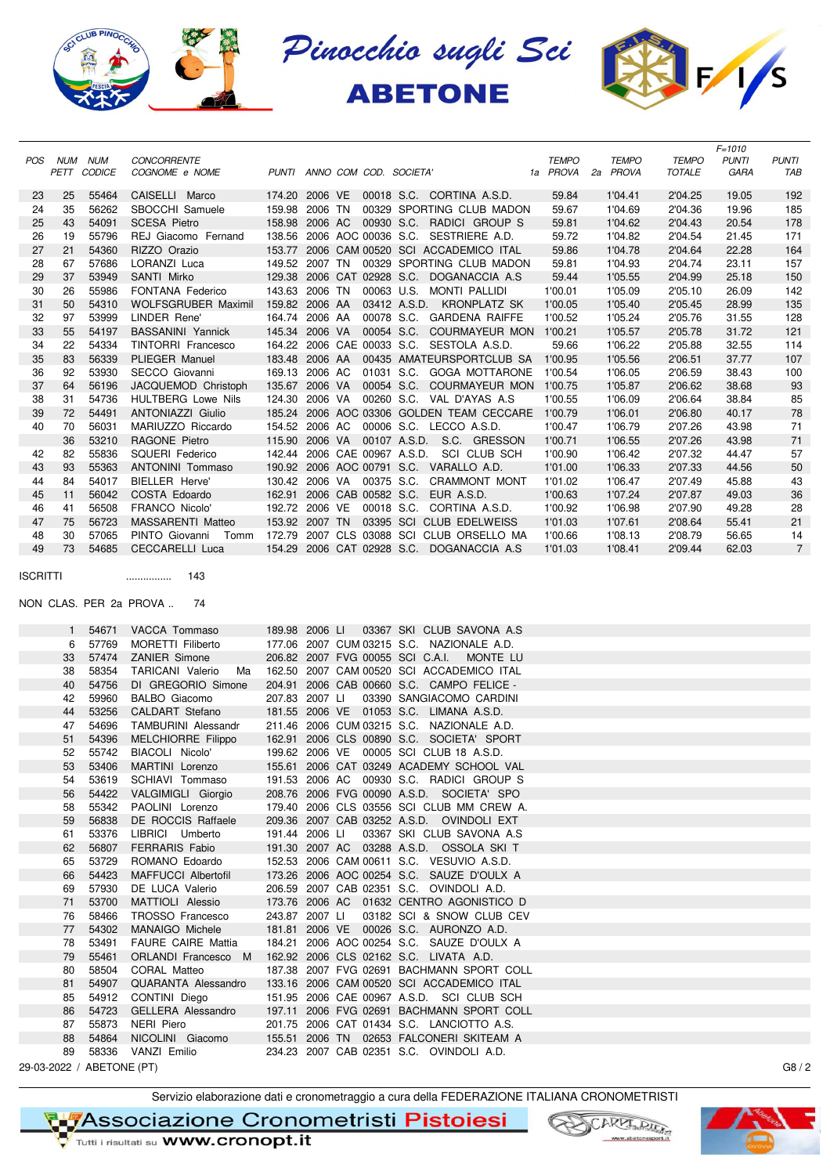





 $5010$ 

|          | POS NUM NUM | PETT CODICE | <b>CONCORRENTE</b><br>COGNOME e NOME          |                |  | PUNTI ANNO COM COD. SOCIETA'                                  | <b>TEMPO</b><br>1a PROVA | <b>TEMPO</b><br>2a PROVA | <b>TEMPO</b><br><b>TOTALE</b> | $r = 1010$<br><b>PUNTI</b><br>GARA | <b>PUNTI</b><br>TAB  |
|----------|-------------|-------------|-----------------------------------------------|----------------|--|---------------------------------------------------------------|--------------------------|--------------------------|-------------------------------|------------------------------------|----------------------|
| 23       | 25          | 55464       | CAISELLI Marco                                | 174.20 2006 VE |  | 00018 S.C. CORTINA A.S.D.                                     | 59.84                    | 1'04.41                  | 2'04.25                       | 19.05                              | 192                  |
| 24       | 35          | 56262       | SBOCCHI Samuele                               | 159.98 2006 TN |  | 00329 SPORTING CLUB MADON                                     | 59.67                    | 1'04.69                  | 2'04.36                       | 19.96                              | 185                  |
| 25       | 43          | 54091       | <b>SCESA Pietro</b>                           |                |  | 158.98 2006 AC 00930 S.C. RADICI GROUP S                      | 59.81                    | 1'04.62                  | 2'04.43                       | 20.54                              | 178                  |
| 26       | 19          | 55796       | REJ Giacomo Fernand                           |                |  | 138.56 2006 AOC 00036 S.C. SESTRIERE A.D.                     | 59.72                    | 1'04.82                  | 2'04.54                       | 21.45                              | 171                  |
| 27       | 21          | 54360       | RIZZO Orazio                                  |                |  | 153.77 2006 CAM 00520 SCI ACCADEMICO ITAL                     | 59.86                    | 1'04.78                  | 2'04.64                       | 22.28                              | 164                  |
| 28       | 67          | 57686       | LORANZI Luca                                  |                |  | 149.52 2007 TN 00329 SPORTING CLUB MADON                      | 59.81                    | 1'04.93                  | 2'04.74                       | 23.11                              | 157                  |
| 29       | 37          | 53949       | SANTI Mirko                                   |                |  | 129.38 2006 CAT 02928 S.C. DOGANACCIA A.S                     | 59.44                    | 1'05.55                  | 2'04.99                       | 25.18                              | 150                  |
| 30       | 26          | 55986       | FONTANA Federico                              | 143.63 2006 TN |  | 00063 U.S. MONTI PALLIDI                                      | 1'00.01                  | 1'05.09                  | 2'05.10                       | 26.09                              | 142                  |
| 31       | 50          | 54310       | WOLFSGRUBER Maximil                           | 159.82 2006 AA |  | 03412 A.S.D. KRONPLATZ SK                                     | 1'00.05                  | 1'05.40                  | 2'05.45                       | 28.99                              | 135                  |
| 32       | 97          | 53999       | LINDER Rene'                                  | 164.74 2006 AA |  | 00078 S.C. GARDENA RAIFFE                                     | 1'00.52                  | 1'05.24                  | 2'05.76                       | 31.55                              | 128                  |
| 33       | 55          | 54197       | <b>BASSANINI Yannick</b>                      | 145.34 2006 VA |  | 00054 S.C. COURMAYEUR MON 1'00.21                             |                          | 1'05.57                  | 2'05.78                       | 31.72                              | 121                  |
| 34       | 22          | 54334       | TINTORRI Francesco                            |                |  | 164.22 2006 CAE 00033 S.C. SESTOLA A.S.D.                     | 59.66                    | 1'06.22                  | 2'05.88                       | 32.55                              | 114                  |
| 35       | 83          | 56339       | PLIEGER Manuel                                |                |  | 183.48 2006 AA 00435 AMATEURSPORTCLUB SA                      | 1'00.95                  | 1'05.56                  | 2'06.51                       | 37.77                              | 107                  |
| 36       | 92          | 53930       | SECCO Giovanni                                | 169.13 2006 AC |  | 01031 S.C. GOGA MOTTARONE 1'00.54                             |                          | 1'06.05                  | 2'06.59                       | 38.43                              | 100                  |
| 37       | 64          | 56196       | JACQUEMOD Christoph                           | 135.67 2006 VA |  | 00054 S.C. COURMAYEUR MON 1'00.75                             |                          | 1'05.87                  | 2'06.62                       | 38.68                              | 93                   |
| 38       | 31          | 54736       | <b>HULTBERG Lowe Nils</b>                     | 124.30 2006 VA |  | 00260 S.C. VAL D'AYAS A.S.                                    | 1'00.55                  | 1'06.09                  | 2'06.64                       | 38.84                              | 85                   |
| 39       | 72          | 54491       | <b>ANTONIAZZI Giulio</b>                      |                |  | 185.24 2006 AOC 03306 GOLDEN TEAM CECCARE 1'00.79             |                          | 1'06.01                  | 2'06.80                       | 40.17                              | 78                   |
| 40       | 70          | 56031       | MARIUZZO Riccardo                             |                |  | 154.52 2006 AC 00006 S.C. LECCO A.S.D.                        | 1'00.47                  | 1'06.79                  | 2'07.26                       | 43.98                              | 71                   |
|          | 36          | 53210       | RAGONE Pietro                                 | 115.90 2006 VA |  | 00107 A.S.D. S.C. GRESSON                                     | 1'00.71                  | 1'06.55                  | 2'07.26                       | 43.98                              | 71                   |
| 42       | 82          | 55836       | SQUERI Federico                               |                |  | 142.44 2006 CAE 00967 A.S.D. SCI CLUB SCH                     | 1'00.90                  | 1'06.42                  | 2'07.32                       | 44.47                              | 57                   |
| 43       | 93          | 55363       | <b>ANTONINI Tommaso</b>                       |                |  | 190.92 2006 AOC 00791 S.C. VARALLO A.D.                       | 1'01.00                  | 1'06.33                  | 2'07.33                       | 44.56                              | 50                   |
| 44       | 84          | 54017       | BIELLER Herve'                                |                |  | 130.42 2006 VA 00375 S.C. CRAMMONT MONT                       | 1'01.02                  | 1'06.47                  | 2'07.49                       | 45.88                              | 43                   |
| 45       | 11          | 56042       | COSTA Edoardo                                 |                |  | 162.91 2006 CAB 00582 S.C. EUR A.S.D.                         | 1'00.63                  | 1'07.24                  | 2'07.87                       | 49.03                              | 36                   |
| 46       | 41          | 56508       | <b>FRANCO Nicolo'</b>                         |                |  | 192.72 2006 VE 00018 S.C. CORTINA A.S.D.                      | 1'00.92                  | 1'06.98                  | 2'07.90                       | 49.28                              | 28                   |
| 47       | 75          | 56723       |                                               | 153.92 2007 TN |  | 03395 SCI CLUB EDELWEISS                                      |                          |                          |                               |                                    | 21                   |
|          |             | 57065       | MASSARENTI Matteo                             |                |  | PINTO Giovanni Tomm 172.79 2007 CLS 03088 SCI CLUB ORSELLO MA | 1'01.03                  | 1'07.61                  | 2'08.64                       | 55.41                              |                      |
| 48<br>49 | 30<br>73    | 54685       | CECCARELLI Luca                               |                |  | 154.29 2006 CAT 02928 S.C. DOGANACCIA A.S                     | 1'00.66<br>1'01.03       | 1'08.13<br>1'08.41       | 2'08.79<br>2'09.44            | 56.65<br>62.03                     | 14<br>$\overline{7}$ |
|          | 1           | 54671       | NON CLAS. PER 2a PROVA<br>74<br>VACCA Tommaso | 189.98 2006 LI |  | 03367 SKI CLUB SAVONA A.S                                     |                          |                          |                               |                                    |                      |
|          | 6           | 57769       | MORETTI Filiberto                             |                |  | 177.06 2007 CUM 03215 S.C. NAZIONALE A.D.                     |                          |                          |                               |                                    |                      |
|          | 33          | 57474       | ZANIER Simone                                 |                |  | 206.82 2007 FVG 00055 SCI C.A.I.<br>MONTE LU                  |                          |                          |                               |                                    |                      |
|          | 38          | 58354       | <b>TARICANI Valerio</b><br>Ma                 |                |  | 162.50 2007 CAM 00520 SCI ACCADEMICO ITAL                     |                          |                          |                               |                                    |                      |
|          | 40          | 54756       | DI GREGORIO Simone                            |                |  | 204.91 2006 CAB 00660 S.C. CAMPO FELICE -                     |                          |                          |                               |                                    |                      |
|          | 42          | 59960       | <b>BALBO</b> Giacomo                          | 207.83 2007 LI |  | 03390 SANGIACOMO CARDINI                                      |                          |                          |                               |                                    |                      |
|          | 44          | 53256       | CALDART Stefano                               |                |  | 181.55 2006 VE 01053 S.C. LIMANA A.S.D.                       |                          |                          |                               |                                    |                      |
|          | 47          | 54696       | <b>TAMBURINI Alessandr</b>                    |                |  | 211.46 2006 CUM 03215 S.C. NAZIONALE A.D.                     |                          |                          |                               |                                    |                      |
|          | 51          | 54396       | MELCHIORRE Filippo                            |                |  | 162.91 2006 CLS 00890 S.C. SOCIETA' SPORT                     |                          |                          |                               |                                    |                      |
|          | 52          | 55742       | BIACOLI Nicolo'                               |                |  | 199.62 2006 VE 00005 SCI CLUB 18 A.S.D.                       |                          |                          |                               |                                    |                      |
|          | 53          | 53406       | MARTINI Lorenzo                               |                |  | 155.61 2006 CAT 03249 ACADEMY SCHOOL VAL                      |                          |                          |                               |                                    |                      |
|          | 54          | 53619       | SCHIAVI Tommaso                               |                |  | 191.53 2006 AC 00930 S.C. RADICI GROUP S                      |                          |                          |                               |                                    |                      |
|          | 56          | 54422       | VALGIMIGLI Giorgio                            |                |  | 208.76 2006 FVG 00090 A.S.D. SOCIETA' SPO                     |                          |                          |                               |                                    |                      |
|          | 58          | 55342       | PAOLINI Lorenzo                               |                |  | 179.40 2006 CLS 03556 SCI CLUB MM CREW A.                     |                          |                          |                               |                                    |                      |
|          | 59          | 56838       | DE ROCCIS Raffaele                            |                |  | 209.36 2007 CAB 03252 A.S.D. OVINDOLI EXT                     |                          |                          |                               |                                    |                      |
|          | 61          | 53376       | LIBRICI Umberto                               | 191.44 2006 LI |  | 03367 SKI CLUB SAVONA A.S                                     |                          |                          |                               |                                    |                      |
|          | 62          | 56807       | <b>FERRARIS Fabio</b>                         |                |  | 191.30 2007 AC 03288 A.S.D. OSSOLA SKI T                      |                          |                          |                               |                                    |                      |
|          | 65          | 53729       | ROMANO Edoardo                                |                |  | 152.53 2006 CAM 00611 S.C. VESUVIO A.S.D.                     |                          |                          |                               |                                    |                      |
|          | 66          | 54423       | MAFFUCCI Albertofil                           |                |  | 173.26 2006 AOC 00254 S.C. SAUZE D'OULX A                     |                          |                          |                               |                                    |                      |
|          | 69          | 57930       | DE LUCA Valerio                               |                |  | 206.59 2007 CAB 02351 S.C. OVINDOLI A.D.                      |                          |                          |                               |                                    |                      |
|          | 71          | 53700       | MATTIOLI Alessio                              |                |  | 173.76 2006 AC 01632 CENTRO AGONISTICO D                      |                          |                          |                               |                                    |                      |
|          | 76          | 58466       | TROSSO Francesco                              | 243.87 2007 LI |  | 03182 SCI & SNOW CLUB CEV                                     |                          |                          |                               |                                    |                      |
|          | 77          | 54302       | MANAIGO Michele                               |                |  | 181.81 2006 VE 00026 S.C. AURONZO A.D.                        |                          |                          |                               |                                    |                      |
|          | 78          | 53491       | <b>FAURE CAIRE Mattia</b>                     |                |  | 184.21 2006 AOC 00254 S.C. SAUZE D'OULX A                     |                          |                          |                               |                                    |                      |
|          | 79          | 55461       | ORLANDI Francesco M                           |                |  | 162.92 2006 CLS 02162 S.C. LIVATA A.D.                        |                          |                          |                               |                                    |                      |
|          | 80          | 58504       | CORAL Matteo                                  |                |  | 187.38 2007 FVG 02691 BACHMANN SPORT COLL                     |                          |                          |                               |                                    |                      |
|          | 81          | 54907       | QUARANTA Alessandro                           |                |  | 133.16 2006 CAM 00520 SCI ACCADEMICO ITAL                     |                          |                          |                               |                                    |                      |
|          | 85          | 54912       | CONTINI Diego                                 |                |  | 151.95 2006 CAE 00967 A.S.D. SCI CLUB SCH                     |                          |                          |                               |                                    |                      |
|          | 86          | 54723       | GELLERA Alessandro                            |                |  | 197.11 2006 FVG 02691 BACHMANN SPORT COLL                     |                          |                          |                               |                                    |                      |
|          | 87          | 55873       | NERI Piero                                    |                |  | 201.75 2006 CAT 01434 S.C. LANCIOTTO A.S.                     |                          |                          |                               |                                    |                      |
|          | 88          | 54864       | NICOLINI Giacomo                              |                |  | 155.51 2006 TN 02653 FALCONERI SKITEAM A                      |                          |                          |                               |                                    |                      |

89 58336 VANZI Emilio 234.23 2007 CAB 02351 S.C. OVINDOLI A.D.

29-03-2022 / ABETONE (PT) G8 / 2

Servizio elaborazione dati e cronometraggio a cura della FEDERAZIONE ITALIANA CRONOMETRISTI

**RIZASSociazione Cronometristi Pistoiesi** 



Tutti i risultati su **WWW.Cronopt.it**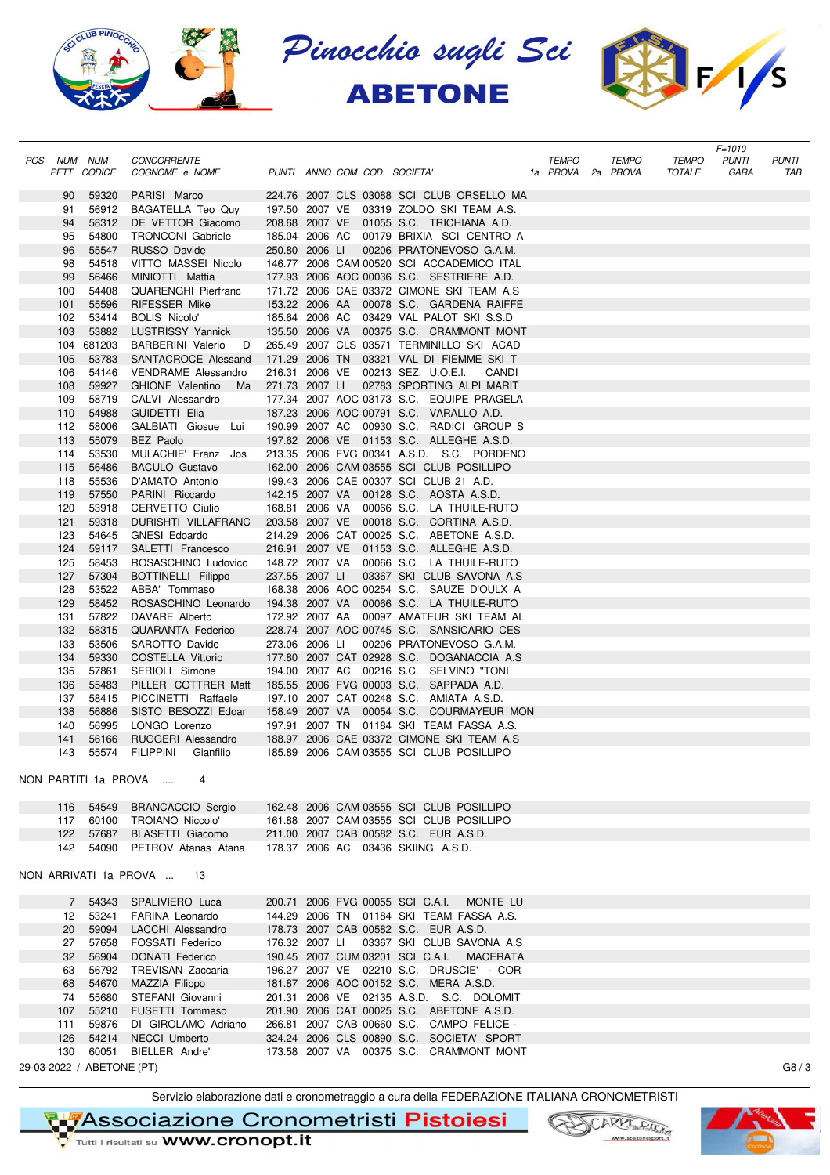





|                                         |                                                      |                              |                                                                                       |              |                                   |                               | $F = 1010$           |                     |
|-----------------------------------------|------------------------------------------------------|------------------------------|---------------------------------------------------------------------------------------|--------------|-----------------------------------|-------------------------------|----------------------|---------------------|
| POS NUM NUM<br>PETT CODICE              | <b>CONCORRENTE</b><br>COGNOME e NOME                 | PUNTI ANNO COM COD. SOCIETA' |                                                                                       | <b>TEMPO</b> | <b>TEMPO</b><br>1a PROVA 2a PROVA | <b>TEMPO</b><br><b>TOTALE</b> | <b>PUNTI</b><br>GARA | <b>PUNTI</b><br>TAB |
|                                         |                                                      |                              |                                                                                       |              |                                   |                               |                      |                     |
| 59320<br>90<br>91                       | PARISI Marco                                         |                              | 224.76 2007 CLS 03088 SCI CLUB ORSELLO MA                                             |              |                                   |                               |                      |                     |
| 56912<br>58312<br>94                    | BAGATELLA Teo Quy<br>DE VETTOR Giacomo               | 208.68 2007 VE               | 197.50 2007 VE 03319 ZOLDO SKI TEAM A.S.<br>01055 S.C. TRICHIANA A.D.                 |              |                                   |                               |                      |                     |
| 54800<br>95                             | <b>TRONCONI</b> Gabriele                             | 185.04 2006 AC               | 00179 BRIXIA SCI CENTRO A                                                             |              |                                   |                               |                      |                     |
| 96<br>55547                             | RUSSO Davide                                         | 250.80 2006 LI               | 00206 PRATONEVOSO G.A.M.                                                              |              |                                   |                               |                      |                     |
| 54518<br>98                             | VITTO MASSEI Nicolo                                  |                              | 146.77 2006 CAM 00520 SCI ACCADEMICO ITAL                                             |              |                                   |                               |                      |                     |
| 99<br>56466                             | MINIOTTI Mattia                                      |                              | 177.93 2006 AOC 00036 S.C. SESTRIERE A.D.                                             |              |                                   |                               |                      |                     |
| 100<br>54408                            | <b>QUARENGHI Pierfranc</b>                           |                              | 171.72 2006 CAE 03372 CIMONE SKI TEAM A.S                                             |              |                                   |                               |                      |                     |
| 101<br>55596                            | <b>RIFESSER Mike</b>                                 |                              | 153.22 2006 AA 00078 S.C. GARDENA RAIFFE                                              |              |                                   |                               |                      |                     |
| 53414<br>102                            | <b>BOLIS Nicolo'</b>                                 |                              | 185.64 2006 AC 03429 VAL PALOT SKI S.S.D                                              |              |                                   |                               |                      |                     |
| 53882<br>103<br>104<br>681203           | <b>LUSTRISSY Yannick</b>                             | 135.50 2006 VA               | 00375 S.C. CRAMMONT MONT<br>265.49 2007 CLS 03571 TERMINILLO SKI ACAD                 |              |                                   |                               |                      |                     |
| 105<br>53783                            | <b>BARBERINI Valerio</b><br>D<br>SANTACROCE Alessand | 171.29 2006 TN               | 03321 VAL DI FIEMME SKI T                                                             |              |                                   |                               |                      |                     |
| 106<br>54146                            | <b>VENDRAME Alessandro</b>                           | 216.31 2006 VE               | 00213 SEZ. U.O.E.I.<br>CANDI                                                          |              |                                   |                               |                      |                     |
| 59927<br>108                            | <b>GHIONE Valentino</b><br>Ma                        | 271.73 2007 LI               | 02783 SPORTING ALPI MARIT                                                             |              |                                   |                               |                      |                     |
| 58719<br>109                            | CALVI Alessandro                                     |                              | 177.34 2007 AOC 03173 S.C. EQUIPE PRAGELA                                             |              |                                   |                               |                      |                     |
| 110<br>54988                            | GUIDETTI Elia                                        |                              | 187.23 2006 AOC 00791 S.C. VARALLO A.D.                                               |              |                                   |                               |                      |                     |
| 112<br>58006                            | GALBIATI Giosue Lui                                  |                              | 190.99 2007 AC 00930 S.C. RADICI GROUP S                                              |              |                                   |                               |                      |                     |
| 113<br>55079                            | <b>BEZ</b> Paolo                                     |                              | 197.62 2006 VE 01153 S.C. ALLEGHE A.S.D.                                              |              |                                   |                               |                      |                     |
| 114<br>53530                            | MULACHIE' Franz Jos                                  |                              | 213.35 2006 FVG 00341 A.S.D. S.C. PORDENO                                             |              |                                   |                               |                      |                     |
| 115<br>56486                            | <b>BACULO Gustavo</b>                                |                              | 162.00 2006 CAM 03555 SCI CLUB POSILLIPO                                              |              |                                   |                               |                      |                     |
| 118<br>55536<br>119<br>57550            | D'AMATO Antonio<br>PARINI Riccardo                   |                              | 199.43 2006 CAE 00307 SCI CLUB 21 A.D.<br>142.15 2007 VA 00128 S.C. AOSTA A.S.D.      |              |                                   |                               |                      |                     |
| 53918<br>120                            | CERVETTO Giulio                                      | 168.81 2006 VA               | 00066 S.C. LA THUILE-RUTO                                                             |              |                                   |                               |                      |                     |
| 59318<br>121                            | DURISHTI VILLAFRANC                                  |                              | 203.58 2007 VE 00018 S.C. CORTINA A.S.D.                                              |              |                                   |                               |                      |                     |
| 123<br>54645                            | <b>GNESI Edoardo</b>                                 |                              | 214.29 2006 CAT 00025 S.C. ABETONE A.S.D.                                             |              |                                   |                               |                      |                     |
| 124<br>59117                            | SALETTI Francesco                                    |                              | 216.91 2007 VE 01153 S.C. ALLEGHE A.S.D.                                              |              |                                   |                               |                      |                     |
| 125<br>58453                            | ROSASCHINO Ludovico                                  |                              | 148.72 2007 VA 00066 S.C. LA THUILE-RUTO                                              |              |                                   |                               |                      |                     |
| 127<br>57304                            | BOTTINELLI Filippo                                   | 237.55 2007 LI               | 03367 SKI CLUB SAVONA A.S                                                             |              |                                   |                               |                      |                     |
| 128<br>53522                            | ABBA' Tommaso                                        |                              | 168.38 2006 AOC 00254 S.C. SAUZE D'OULX A                                             |              |                                   |                               |                      |                     |
| 129<br>58452                            | ROSASCHINO Leonardo                                  | 194.38 2007 VA               | 00066 S.C. LA THUILE-RUTO                                                             |              |                                   |                               |                      |                     |
| 57822<br>131<br>58315<br>132            | DAVARE Alberto<br>QUARANTA Federico                  | 172.92 2007 AA               | 00097 AMATEUR SKI TEAM AL<br>228.74 2007 AOC 00745 S.C. SANSICARIO CES                |              |                                   |                               |                      |                     |
| 133<br>53506                            | SAROTTO Davide                                       | 273.06 2006 LI               | 00206 PRATONEVOSO G.A.M.                                                              |              |                                   |                               |                      |                     |
| 59330<br>134                            | COSTELLA Vittorio                                    |                              | 177.80 2007 CAT 02928 S.C. DOGANACCIA A.S                                             |              |                                   |                               |                      |                     |
| 135<br>57861                            | SERIOLI Simone                                       |                              | 194.00 2007 AC 00216 S.C. SELVINO "TONI                                               |              |                                   |                               |                      |                     |
| 136<br>55483                            | PILLER COTTRER Matt                                  |                              | 185.55 2006 FVG 00003 S.C. SAPPADA A.D.                                               |              |                                   |                               |                      |                     |
| 137<br>58415                            | PICCINETTI Raffaele                                  |                              | 197.10 2007 CAT 00248 S.C. AMIATA A.S.D.                                              |              |                                   |                               |                      |                     |
| 138<br>56886                            | SISTO BESOZZI Edoar                                  |                              | 158.49 2007 VA 00054 S.C. COURMAYEUR MON                                              |              |                                   |                               |                      |                     |
| 56995<br>140                            | LONGO Lorenzo                                        |                              | 197.91 2007 TN 01184 SKI TEAM FASSA A.S.                                              |              |                                   |                               |                      |                     |
| 141<br>56166<br>143<br>55574            | RUGGERI Alessandro<br><b>FILIPPINI</b>               |                              | 188.97 2006 CAE 03372 CIMONE SKI TEAM A.S<br>185.89 2006 CAM 03555 SCI CLUB POSILLIPO |              |                                   |                               |                      |                     |
|                                         | Gianfilip                                            |                              |                                                                                       |              |                                   |                               |                      |                     |
| NON PARTITI 1a PROVA                    |                                                      |                              |                                                                                       |              |                                   |                               |                      |                     |
|                                         |                                                      |                              |                                                                                       |              |                                   |                               |                      |                     |
| 54549<br>116                            | <b>BRANCACCIO Sergio</b>                             |                              | 162.48 2006 CAM 03555 SCI CLUB POSILLIPO                                              |              |                                   |                               |                      |                     |
| 117 60100                               | TROIANO Niccolo'                                     |                              | 161.88 2007 CAM 03555 SCI CLUB POSILLIPO                                              |              |                                   |                               |                      |                     |
| 122<br>57687<br>142<br>54090            | BLASETTI Giacomo<br>PETROV Atanas Atana              |                              | 211.00 2007 CAB 00582 S.C. EUR A.S.D.<br>178.37 2006 AC 03436 SKIING A.S.D.           |              |                                   |                               |                      |                     |
|                                         |                                                      |                              |                                                                                       |              |                                   |                               |                      |                     |
| NON ARRIVATI 1a PROVA  13               |                                                      |                              |                                                                                       |              |                                   |                               |                      |                     |
|                                         |                                                      |                              |                                                                                       |              |                                   |                               |                      |                     |
| 54343<br>$7\overline{ }$<br>53241<br>12 | SPALIVIERO Luca                                      |                              | 200.71 2006 FVG 00055 SCI C.A.I. MONTE LU<br>144.29 2006 TN 01184 SKI TEAM FASSA A.S. |              |                                   |                               |                      |                     |
| 59094<br>20                             | FARINA Leonardo<br><b>LACCHI Alessandro</b>          |                              | 178.73 2007 CAB 00582 S.C. EUR A.S.D.                                                 |              |                                   |                               |                      |                     |
| 57658<br>27                             | <b>FOSSATI Federico</b>                              | 176.32 2007 LI               | 03367 SKI CLUB SAVONA A.S                                                             |              |                                   |                               |                      |                     |
| 32<br>56904                             | <b>DONATI</b> Federico                               |                              | 190.45 2007 CUM 03201 SCI C.A.I. MACERATA                                             |              |                                   |                               |                      |                     |
| 56792<br>63                             | TREVISAN Zaccaria                                    |                              | 196.27 2007 VE 02210 S.C. DRUSCIE' - COR                                              |              |                                   |                               |                      |                     |
| 68<br>54670                             | MAZZIA Filippo                                       |                              | 181.87 2006 AOC 00152 S.C. MERA A.S.D.                                                |              |                                   |                               |                      |                     |
| 55680<br>74                             | STEFANI Giovanni                                     |                              | 201.31 2006 VE 02135 A.S.D. S.C. DOLOMIT                                              |              |                                   |                               |                      |                     |
| 107<br>55210                            | FUSETTI Tommaso                                      |                              | 201.90 2006 CAT 00025 S.C. ABETONE A.S.D.                                             |              |                                   |                               |                      |                     |
| 59876<br>111                            | DI GIROLAMO Adriano                                  |                              | 266.81 2007 CAB 00660 S.C. CAMPO FELICE -                                             |              |                                   |                               |                      |                     |
| 126<br>54214<br>130<br>60051            | <b>NECCI Umberto</b><br>BIELLER Andre'               |                              | 324.24 2006 CLS 00890 S.C. SOCIETA' SPORT<br>173.58 2007 VA 00375 S.C. CRAMMONT MONT  |              |                                   |                               |                      |                     |
| 29-03-2022 / ABETONE (PT)               |                                                      |                              |                                                                                       |              |                                   |                               |                      | G8/3                |
|                                         |                                                      |                              |                                                                                       |              |                                   |                               |                      |                     |

Servizio elaborazione dati e cronometraggio a cura della FEDERAZIONE ITALIANA CRONOMETRISTI

**TL<mark>7</mark>Associazione Cronometristi Pistoiesi**<br>V Tutti i risultati su WWW.cronopt.it

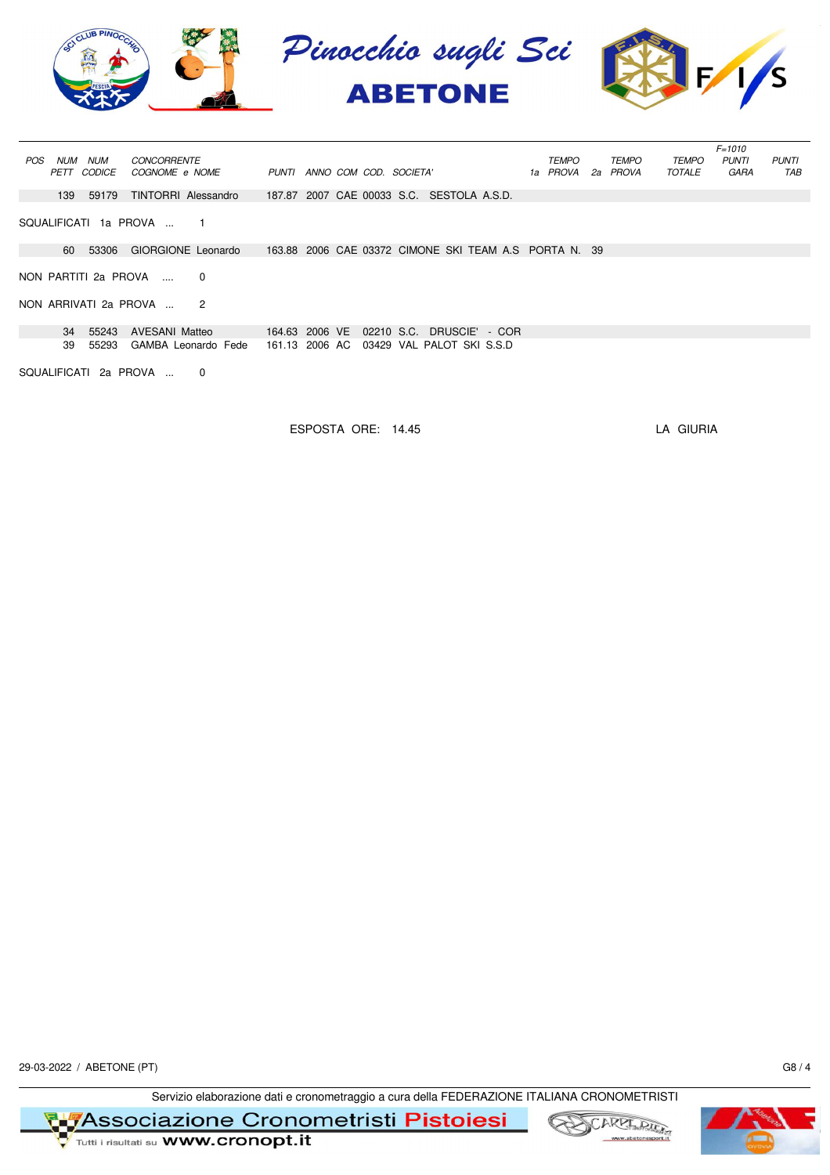

|                                                |                                                       |                      | $F = 1010$                                   |  |  |  |  |  |  |  |  |  |  |
|------------------------------------------------|-------------------------------------------------------|----------------------|----------------------------------------------|--|--|--|--|--|--|--|--|--|--|
| NUM<br><b>NUM</b><br><b>CONCORRENTE</b><br>POS |                                                       | TEMPO<br>TEMPO       | <b>TEMPO</b><br><b>PUNTI</b><br><b>PUNTI</b> |  |  |  |  |  |  |  |  |  |  |
| PETT CODICE<br>COGNOME e NOME                  | PUNTI ANNO COM COD. SOCIETA'                          | 1a PROVA<br>2a PROVA | TOTALE<br>GARA<br>TAB                        |  |  |  |  |  |  |  |  |  |  |
|                                                |                                                       |                      |                                              |  |  |  |  |  |  |  |  |  |  |
| TINTORRI Alessandro<br>139<br>59179            | 187.87 2007 CAE 00033 S.C. SESTOLA A.S.D.             |                      |                                              |  |  |  |  |  |  |  |  |  |  |
|                                                |                                                       |                      |                                              |  |  |  |  |  |  |  |  |  |  |
| SQUALIFICATI 1a PROVA                          |                                                       |                      |                                              |  |  |  |  |  |  |  |  |  |  |
|                                                |                                                       |                      |                                              |  |  |  |  |  |  |  |  |  |  |
| 60 53306<br>GIORGIONE Leonardo                 | 163.88 2006 CAE 03372 CIMONE SKI TEAM A.S PORTA N. 39 |                      |                                              |  |  |  |  |  |  |  |  |  |  |
|                                                |                                                       |                      |                                              |  |  |  |  |  |  |  |  |  |  |
| NON PARTITI 2a PROVA<br>$\Omega$               |                                                       |                      |                                              |  |  |  |  |  |  |  |  |  |  |
|                                                |                                                       |                      |                                              |  |  |  |  |  |  |  |  |  |  |
| NON ARRIVATI 2a PROVA<br>2                     |                                                       |                      |                                              |  |  |  |  |  |  |  |  |  |  |
|                                                |                                                       |                      |                                              |  |  |  |  |  |  |  |  |  |  |
|                                                |                                                       |                      |                                              |  |  |  |  |  |  |  |  |  |  |
| 55243<br><b>AVESANI Matteo</b><br>34           | 164.63 2006 VE 02210 S.C. DRUSCIE' - COR              |                      |                                              |  |  |  |  |  |  |  |  |  |  |
| 55293<br>39<br>GAMBA Leonardo Fede             | 161.13 2006 AC<br>03429 VAL PALOT SKI S.S.D           |                      |                                              |  |  |  |  |  |  |  |  |  |  |
|                                                |                                                       |                      |                                              |  |  |  |  |  |  |  |  |  |  |
| SQUALIFICATI 2a PROVA<br>0                     |                                                       |                      |                                              |  |  |  |  |  |  |  |  |  |  |

ESPOSTA ORE: 14.45 LA GIURIA

29-03-2022 / ABETONE (PT) G8 / 4

Servizio elaborazione dati e cronometraggio a cura della FEDERAZIONE ITALIANA CRONOMETRISTI

**Associazione Cronometristi Pistoiesi**<br>Tutti i risultati su WWW.cronopt.it





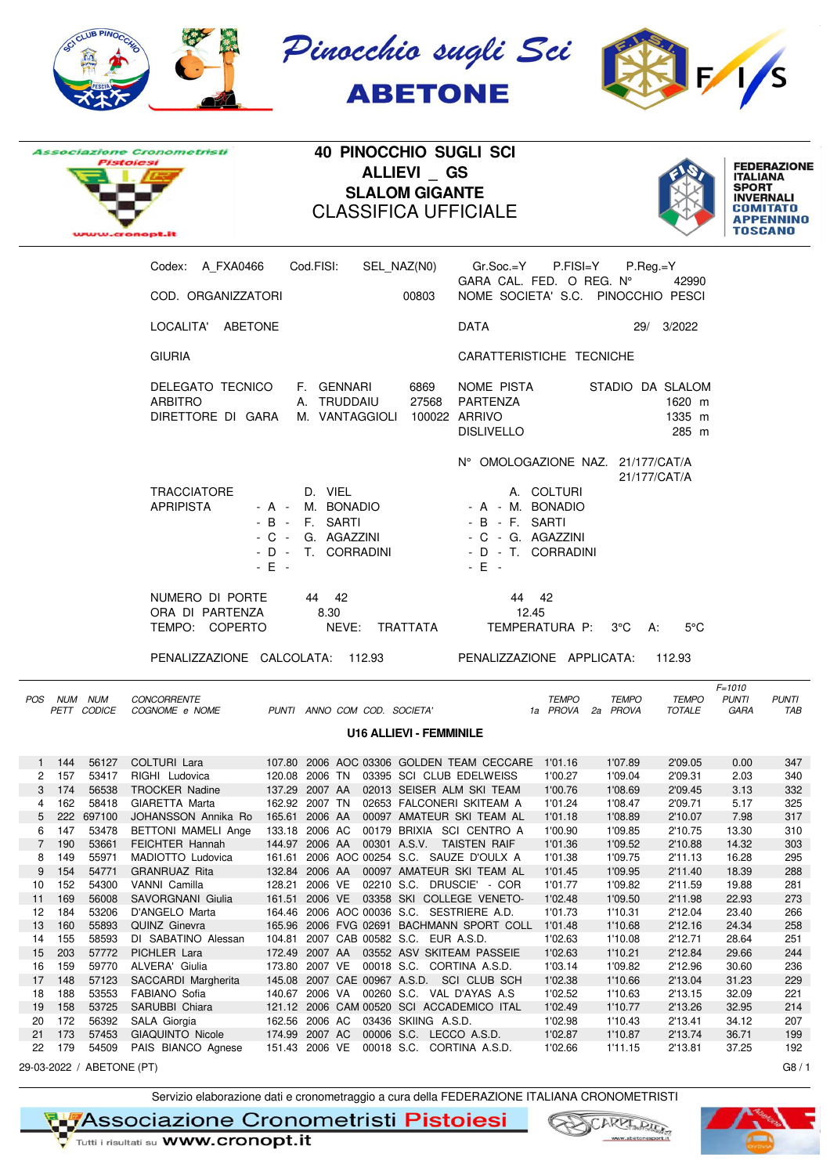







**40 PINOCCHIO SUGLI SCI ALLIEVI \_ GS SLALOM GIGANTE** CLASSIFICA UFFICIALE



|    |             |            | Codex: A_FXA0466    Cod.FISI:                                                            |                          |                                                                        |                                | SEL_NAZ(N0) Gr.Soc.=Y P.FISI=Y                                                            |                                   | $P_{\cdot}$ Reg.=Y |                           |                                    |                     |
|----|-------------|------------|------------------------------------------------------------------------------------------|--------------------------|------------------------------------------------------------------------|--------------------------------|-------------------------------------------------------------------------------------------|-----------------------------------|--------------------|---------------------------|------------------------------------|---------------------|
|    |             |            | COD. ORGANIZZATORI                                                                       |                          |                                                                        | 00803                          | GARA CAL. FED. O REG. N°<br>NOME SOCIETA' S.C. PINOCCHIO PESCI                            |                                   |                    | 42990                     |                                    |                     |
|    |             |            | LOCALITA' ABETONE                                                                        |                          |                                                                        |                                | <b>DATA</b>                                                                               |                                   |                    | 29/ 3/2022                |                                    |                     |
|    |             |            | <b>GIURIA</b>                                                                            |                          |                                                                        |                                | CARATTERISTICHE TECNICHE                                                                  |                                   |                    |                           |                                    |                     |
|    |             |            | DELEGATO TECNICO<br><b>ARBITRO</b><br>DIRETTORE DI GARA                                  |                          | F. GENNARI<br>A. TRUDDAIU<br>M. VANTAGGIOLI 100022 ARRIVO              | 6869<br>27568                  | NOME PISTA<br>PARTENZA<br><b>DISLIVELLO</b>                                               |                                   | STADIO DA SLALOM   | 1620 m<br>1335 m<br>285 m |                                    |                     |
|    |             |            |                                                                                          |                          |                                                                        |                                | N° OMOLOGAZIONE NAZ. 21/177/CAT/A                                                         |                                   |                    |                           |                                    |                     |
|    |             |            | <b>TRACCIATORE</b><br><b>APRIPISTA</b>                                                   | - B - F. SARTI<br>$-E +$ | D. VIEL<br>- A - M. BONADIO<br>- C - G. AGAZZINI<br>- D - T. CORRADINI |                                | - A - M. BONADIO<br>- B - F. SARTI<br>- C - G. AGAZZINI<br>- D - T. CORRADINI<br>$-E$ $-$ | A. COLTURI                        |                    | 21/177/CAT/A              |                                    |                     |
|    |             |            | NUMERO DI PORTE<br>ORA DI PARTENZA<br>TEMPO: COPERTO<br>PENALIZZAZIONE CALCOLATA: 112.93 |                          | 44 42<br>8.30<br>NEVE: TRATTATA                                        |                                | 44 42<br>12.45<br>PENALIZZAZIONE APPLICATA:                                               | TEMPERATURA P: 3°C A:             |                    | $5^{\circ}$ C<br>112.93   |                                    |                     |
|    | POS NUM NUM |            | CONCORRENTE<br>PETT CODICE COGNOME e NOME PUNTI ANNO COM COD. SOCIETA'                   |                          |                                                                        |                                |                                                                                           | <b>TEMPO</b><br>1a PROVA 2a PROVA | <b>TEMPO</b>       | TEMPO<br>TOTALE           | $F = 1010$<br><b>PUNTI</b><br>GARA | <b>PUNTI</b><br>TAB |
|    |             |            |                                                                                          |                          |                                                                        | <b>U16 ALLIEVI - FEMMINILE</b> |                                                                                           |                                   |                    |                           |                                    |                     |
|    | $1 \t144$   | 56127      |                                                                                          |                          |                                                                        |                                |                                                                                           |                                   | 1'07.89            | 2'09.05                   | 0.00                               | 347                 |
|    | 2 157       | 53417      | RIGHI Ludovica                                                                           |                          |                                                                        |                                | 120.08  2006 TN  03395  SCI  CLUB EDELWEISS                                               | 1'00.27                           | 1'09.04            | 2'09.31                   | 2.03                               | 340                 |
| 3  | 174         | 56538      | <b>TROCKER Nadine</b>                                                                    |                          |                                                                        |                                | 137.29 2007 AA 02013 SEISER ALM SKI TEAM                                                  | 1'00.76                           | 1'08.69            | 2'09.45                   | 3.13                               | 332                 |
| 4  | 162         | 58418      | GIARETTA Marta                                                                           |                          |                                                                        |                                | 162.92 2007 TN 02653 FALCONERI SKITEAM A                                                  | 1'01.24                           | 1'08.47            | 2'09.71                   | 5.17                               | 325                 |
| 5  |             | 222 697100 | JOHANSSON Annika Ro 165.61 2006 AA 00097 AMATEUR SKI TEAM AL                             |                          |                                                                        |                                |                                                                                           | 1'01.18                           | 1'08.89            | 2'10.07                   | 7.98                               | 317                 |
| 6  | 147         | 53478      | BETTONI MAMELI Ange 133.18 2006 AC 00179 BRIXIA SCI CENTRO A                             |                          |                                                                        |                                |                                                                                           | 1'00.90                           | 1'09.85            | 2'10.75                   | 13.30                              | 310                 |
|    | 7 190       | 53661      | FEICHTER Hannah                                                                          |                          |                                                                        |                                | 144.97 2006 AA  00301 A.S.V. TAISTEN RAIF                                                 | 1'01.36                           | 1'09.52            | 2'10.88                   | 14.32                              | 303                 |
| 8  | 149         | 55971      | MADIOTTO Ludovica                                                                        |                          |                                                                        |                                | 161.61 2006 AOC 00254 S.C. SAUZE D'OULX A                                                 | 1'01.38                           | 1'09.75            | 2'11.13                   | 16.28                              | 295                 |
|    |             |            | 9 154 54771 GRANRUAZ Rita                                                                |                          |                                                                        |                                | 132.84 2006 AA  00097 AMATEUR SKI TEAM AL                                                 | 1'01.45                           | 1'09.95            | 2'11.40                   | 18.39                              | 288                 |
|    |             |            |                                                                                          |                          |                                                                        |                                |                                                                                           |                                   |                    |                           |                                    |                     |
| 10 | 152         | 54300      | VANNI Camilla                                                                            |                          |                                                                        |                                | 128.21 2006 VE 02210 S.C. DRUSCIE' - COR                                                  | 1'01.77                           | 1'09.82            | 2'11.59                   | 19.88                              | 281                 |
| 11 | 169         | 56008      | SAVORGNANI Giulia                                                                        |                          |                                                                        |                                | 161.51 2006 VE 03358 SKI COLLEGE VENETO-                                                  | 1'02.48                           | 1'09.50            | 2'11.98                   | 22.93                              | 273                 |
| 12 | 184         | 53206      | D'ANGELO Marta                                                                           |                          |                                                                        |                                | 164.46 2006 AOC 00036 S.C. SESTRIERE A.D.                                                 | 1'01.73                           | 1'10.31            | 2'12.04                   | 23.40                              | 266                 |
| 13 | 160         | 55893      | QUINZ Ginevra                                                                            |                          |                                                                        |                                | 165.96 2006 FVG 02691 BACHMANN SPORT COLL                                                 | 1'01.48                           | 1'10.68            | 2'12.16                   | 24.34                              | 258                 |
| 14 | 155         | 58593      | DI SABATINO Alessan                                                                      |                          | 104.81 2007 CAB 00582 S.C. EUR A.S.D.                                  |                                |                                                                                           | 1'02.63                           | 1'10.08            | 2'12.71                   | 28.64                              | 251                 |
| 15 | 203         | 57772      | PICHLER Lara                                                                             |                          |                                                                        |                                | 172.49 2007 AA 03552 ASV SKITEAM PASSEIE                                                  | 1'02.63                           | 1'10.21            | 2'12.84                   | 29.66                              | 244                 |
| 16 | 159         | 59770      | ALVERA' Giulia                                                                           |                          | 173.80 2007 VE 00018 S.C. CORTINA A.S.D.                               |                                |                                                                                           | 1'03.14                           | 1'09.82            | 2'12.96                   | 30.60                              | 236                 |
| 17 | 148         | 57123      | SACCARDI Margherita                                                                      |                          |                                                                        |                                | 145.08 2007 CAE 00967 A.S.D. SCI CLUB SCH                                                 | 1'02.38                           | 1'10.66            | 2'13.04                   | 31.23                              | 229                 |
| 18 | 188         | 53553      | FABIANO Sofia                                                                            |                          |                                                                        |                                | 140.67 2006 VA 00260 S.C. VAL D'AYAS A.S                                                  | 1'02.52                           | 1'10.63            | 2'13.15                   | 32.09                              | 221                 |
|    |             |            | 19 158 53725 SARUBBI Chiara                                                              |                          |                                                                        |                                | 121.12 2006 CAM 00520 SCI ACCADEMICO ITAL                                                 | 1'02.49                           | 1'10.77            | 2'13.26                   | 32.95                              | 214                 |

29-03-2022 / ABETONE (PT) G8 / 1

Servizio elaborazione dati e cronometraggio a cura della FEDERAZIONE ITALIANA CRONOMETRISTI

19 158 53725 SARUBBI Chiara 121.12 2006 CAM 00520 SCI ACCADEMICO ITAL 1'02.49 1'10.77 2'13.26 32.95 214 20 172 56392 SALA Giorgia 162.56 2006 AC 03436 SKIING A.S.D. 1'02.98 1'10.43 2'13.41 34.12 207

22 179 54509 PAIS BIANCO Agnese 151.43 2006 VE 00018 S.C. CORTINA A.S.D. 1'02.66 1'11.15 2'13.81 37.25 192

₹∎7Associazione Cronometristi Pistoiesi

Tutti i risultati su **WWW.Cronopt.it** 

173 57453 GIAQUINTO Nicole 174.99 2007 AC 00006 S.C. LECCO A.S.D.

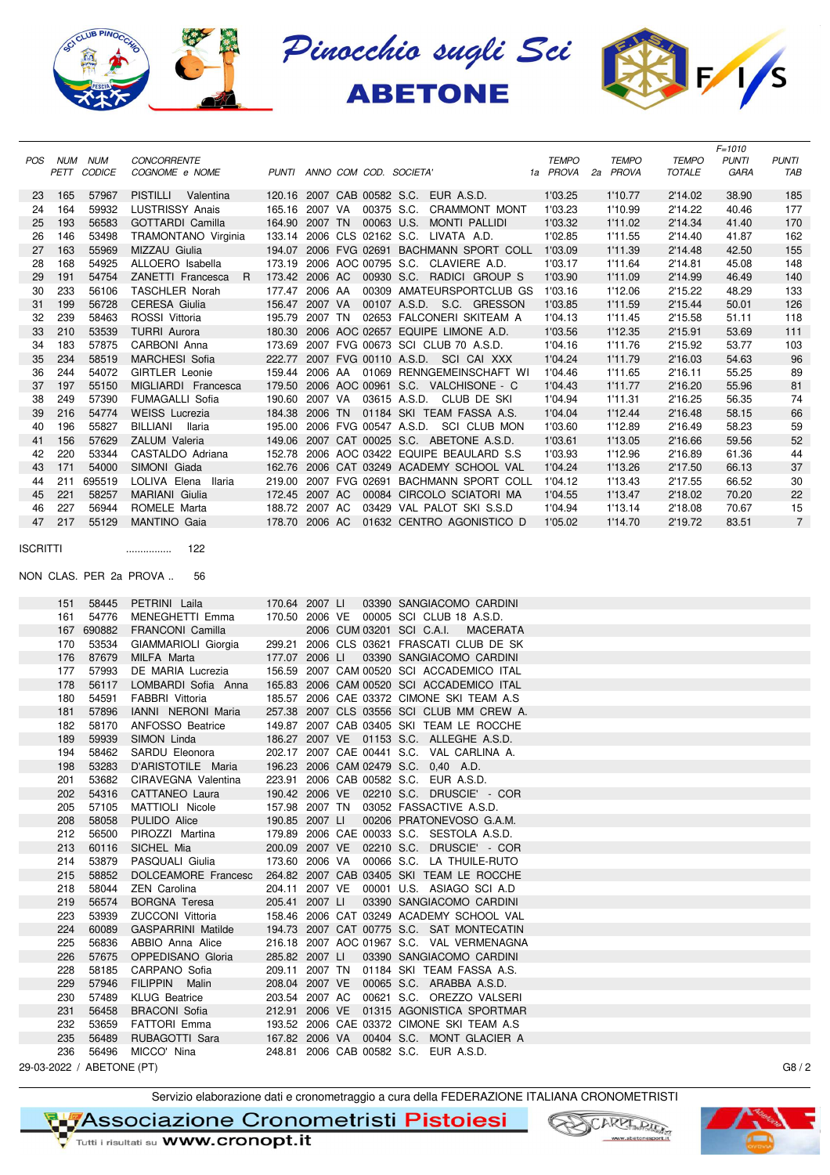





|                 |         |             |                              |                |  |                                              |              |              |               | $F = 1010$   |                |
|-----------------|---------|-------------|------------------------------|----------------|--|----------------------------------------------|--------------|--------------|---------------|--------------|----------------|
|                 | POS NUM | <b>NUM</b>  | <b>CONCORRENTE</b>           |                |  |                                              | <b>TEMPO</b> | <b>TEMPO</b> | <b>TEMPO</b>  | <b>PUNTI</b> | <b>PUNTI</b>   |
|                 |         | PETT CODICE | COGNOME e NOME               |                |  | PUNTI ANNO COM COD. SOCIETA'                 | 1a PROVA     | 2a PROVA     | <b>TOTALE</b> | GARA         | TAB            |
| 23              | - 165   | 57967       | PISTILLI Valentina           |                |  | 120.16 2007 CAB 00582 S.C. EUR A.S.D.        | 1'03.25      | 1'10.77      | 2'14.02       | 38.90        | 185            |
| 24              | 164     | 59932       | <b>LUSTRISSY Anais</b>       |                |  | 165.16 2007 VA 00375 S.C. CRAMMONT MONT      | 1'03.23      | 1'10.99      | 2'14.22       | 40.46        | 177            |
| 25              | 193     | 56583       | <b>GOTTARDI Camilla</b>      |                |  | 164.90 2007 TN 00063 U.S. MONTI PALLIDI      | 1'03.32      | 1'11.02      | 2'14.34       |              |                |
|                 |         |             |                              |                |  |                                              |              |              |               | 41.40        | 170            |
| 26              | 146     | 53498       | TRAMONTANO Virginia          |                |  | 133.14 2006 CLS 02162 S.C. LIVATA A.D.       | 1'02.85      | 1'11.55      | 2'14.40       | 41.87        | 162            |
| 27              | 163     | 55969       | MIZZAU Giulia                |                |  | 194.07 2006 FVG 02691 BACHMANN SPORT COLL    | 1'03.09      | 1'11.39      | 2'14.48       | 42.50        | 155            |
| 28              | 168     | 54925       | ALLOERO Isabella             |                |  | 173.19 2006 AOC 00795 S.C. CLAVIERE A.D.     | 1'03.17      | 1'11.64      | 2'14.81       | 45.08        | 148            |
| 29              | 191     | 54754       | ZANETTI Francesca            |                |  | R 173.42 2006 AC 00930 S.C. RADICI GROUP S   | 1'03.90      | 1'11.09      | 2'14.99       | 46.49        | 140            |
| 30              | 233     | 56106       | <b>TASCHLER Norah</b>        |                |  | 177.47 2006 AA 00309 AMATEURSPORTCLUB GS     | 1'03.16      | 1'12.06      | 2'15.22       | 48.29        | 133            |
| 31              | 199     | 56728       | <b>CERESA Giulia</b>         |                |  | 156.47 2007 VA 00107 A.S.D. S.C. GRESSON     | 1'03.85      | 1'11.59      | 2'15.44       | 50.01        | 126            |
| 32              | 239     | 58463       | ROSSI Vittoria               |                |  | 195.79 2007 TN 02653 FALCONERI SKITEAM A     | 1'04.13      | 1'11.45      | 2'15.58       | 51.11        | 118            |
| 33              | 210     | 53539       | <b>TURRI Aurora</b>          |                |  | 180.30 2006 AOC 02657 EQUIPE LIMONE A.D.     | 1'03.56      | 1'12.35      | 2'15.91       | 53.69        | 111            |
| 34              | 183     | 57875       | CARBONI Anna                 |                |  | 173.69 2007 FVG 00673 SCI CLUB 70 A.S.D.     | 1'04.16      | 1'11.76      | 2'15.92       | 53.77        | 103            |
| 35              | 234     | 58519       | <b>MARCHESI Sofia</b>        |                |  | 222.77 2007 FVG 00110 A.S.D. SCI CAI XXX     | 1'04.24      | 1'11.79      | 2'16.03       | 54.63        | 96             |
| 36              | 244     | 54072       | <b>GIRTLER Leonie</b>        |                |  | 159.44 2006 AA 01069 RENNGEMEINSCHAFT WI     | 1'04.46      | 1'11.65      | 2'16.11       | 55.25        | 89             |
| 37              | 197     | 55150       | MIGLIARDI Francesca          |                |  | 179.50 2006 AOC 00961 S.C. VALCHISONE - C    | 1'04.43      | 1'11.77      | 2'16.20       | 55.96        | 81             |
| 38              | 249     | 57390       | <b>FUMAGALLI Sofia</b>       |                |  | 190.60 2007 VA 03615 A.S.D. CLUB DE SKI      | 1'04.94      | 1'11.31      | 2'16.25       | 56.35        | 74             |
| 39              | 216     | 54774       | <b>WEISS Lucrezia</b>        |                |  | 184.38 2006 TN 01184 SKI TEAM FASSA A.S.     | 1'04.04      | 1'12.44      | 2'16.48       | 58.15        | 66             |
| 40              | 196     | 55827       | BILLIANI llaria              |                |  | 195.00 2006 FVG 00547 A.S.D. SCI CLUB MON    | 1'03.60      | 1'12.89      | 2'16.49       | 58.23        | 59             |
| 41              | 156     | 57629       | ZALUM Valeria                |                |  | 149.06 2007 CAT 00025 S.C. ABETONE A.S.D.    | 1'03.61      | 1'13.05      | 2'16.66       | 59.56        | 52             |
| 42              | 220     | 53344       | CASTALDO Adriana             |                |  | 152.78 2006 AOC 03422 EQUIPE BEAULARD S.S    | 1'03.93      | 1'12.96      | 2'16.89       | 61.36        | 44             |
| 43              | 171     | 54000       | SIMONI Giada                 |                |  | 162.76 2006 CAT 03249 ACADEMY SCHOOL VAL     | 1'04.24      | 1'13.26      | 2'17.50       | 66.13        | 37             |
| 44              | 211     | 695519      | LOLIVA Elena Ilaria          |                |  | 219.00 2007 FVG 02691 BACHMANN SPORT COLL    | 1'04.12      | 1'13.43      | 2'17.55       | 66.52        | 30             |
| 45              | 221     | 58257       | MARIANI Giulia               |                |  | 172.45 2007 AC 00084 CIRCOLO SCIATORI MA     | 1'04.55      | 1'13.47      | 2'18.02       | 70.20        | 22             |
| 46              | 227     | 56944       | ROMELE Marta                 |                |  | 188.72 2007 AC 03429 VAL PALOT SKI S.S.D     | 1'04.94      | 1'13.14      | 2'18.08       | 70.67        | 15             |
| 47              | 217     | 55129       | <b>MANTINO Gaia</b>          |                |  | 178.70 2006 AC 01632 CENTRO AGONISTICO D     | 1'05.02      | 1'14.70      | 2'19.72       | 83.51        | $\overline{7}$ |
|                 |         |             |                              |                |  |                                              |              |              |               |              |                |
| <b>ISCRITTI</b> |         |             | 122<br>                      |                |  |                                              |              |              |               |              |                |
|                 |         |             |                              |                |  |                                              |              |              |               |              |                |
|                 |         |             | NON CLAS. PER 2a PROVA<br>56 |                |  |                                              |              |              |               |              |                |
|                 |         |             |                              |                |  |                                              |              |              |               |              |                |
|                 | 151     | 58445       | PETRINI Laila                | 170.64 2007 LI |  | 03390 SANGIACOMO CARDINI                     |              |              |               |              |                |
|                 | 161     | 54776       | MENEGHETTI Emma              |                |  | 170.50 2006 VE 00005 SCI CLUB 18 A.S.D.      |              |              |               |              |                |
|                 | 167     | 690882      | <b>FRANCONI Camilla</b>      |                |  | 2006 CUM 03201 SCI C.A.I.<br><b>MACERATA</b> |              |              |               |              |                |
|                 | 170     | 53534       | GIAMMARIOLI Giorgia          |                |  | 299.21 2006 CLS 03621 FRASCATI CLUB DE SK    |              |              |               |              |                |
|                 | 176     | 87679       | MILFA Marta                  | 177.07 2006 LI |  | 03390 SANGIACOMO CARDINI                     |              |              |               |              |                |
|                 | 177     | 57993       | DE MARIA Lucrezia            |                |  | 156.59 2007 CAM 00520 SCI ACCADEMICO ITAL    |              |              |               |              |                |
|                 | 178     | 56117       | LOMBARDI Sofia Anna          |                |  | 165.83 2006 CAM 00520 SCI ACCADEMICO ITAL    |              |              |               |              |                |
|                 | 180     | 54591       | FABBRI Vittoria              |                |  | 185.57 2006 CAE 03372 CIMONE SKI TEAM A.S    |              |              |               |              |                |

Servizio elaborazione dati e cronometraggio a cura della FEDERAZIONE ITALIANA CRONOMETRISTI

180 54591 FABBRI Vittoria 185.57 2006 CAE 03372 CIMONE SKI TEAM A.S 181 57896 IANNI NERONI Maria 257.38 2007 CLS 03556 SCI CLUB MM CREW A. 182 58170 ANFOSSO Beatrice 149.87 2007 CAB 03405 SKI TEAM LE ROCCHE 189 59939 SIMON Linda 186.27 2007 VE 01153 S.C. ALLEGHE A.S.D. 194 58462 SARDU Eleonora 202.17 2007 CAE 00441 S.C. VAL CARLINA A. 198 53283 D'ARISTOTILE Maria 196.23 2006 CAM 02479 S.C. 0,40 A.D. 201 53682 CIRAVEGNA Valentina 223.91 2006 CAB 00582 S.C. EUR A.S.D. 202 54316 CATTANEO Laura 190.42 2006 VE 02210 S.C. DRUSCIE' - COR 205 57105 MATTIOLI Nicole 157.98 2007 TN 03052 FASSACTIVE A.S.D. 208 58058 PULIDO Alice 190.85 2007 LI 00206 PRATONEVOSO G.A.M. 212 56500 PIROZZI Martina 179.89 2006 CAE 00033 S.C. SESTOLA A.S.D. 213 60116 SICHEL Mia 200.09 2007 VE 02210 S.C. DRUSCIE' - COR 214 53879 PASQUALI Giulia 173.60 2006 VA 00066 S.C. LA THUILE-RUTO 215 58852 DOLCEAMORE Francesc 264.82 2007 CAB 03405 SKI TEAM LE ROCCHE 218 58044 ZEN Carolina 204.11 2007 VE 00001 U.S. ASIAGO SCI A.D 219 56574 BORGNA Teresa 205.41 2007 LI 03390 SANGIACOMO CARDINI 223 53939 ZUCCONI Vittoria 158.46 2006 CAT 03249 ACADEMY SCHOOL VAL 224 60089 GASPARRINI Matilde 194.73 2007 CAT 00775 S.C. SAT MONTECATIN 225 56836 ABBIO Anna Alice 216.18 2007 AOC 01967 S.C. VAL VERMENAGNA 226 57675 OPPEDISANO Gloria 285.82 2007 LI 03390 SANGIACOMO CARDINI 228 58185 CARPANO Sofia 209.11 2007 TN 01184 SKI TEAM FASSA A.S. 229 57946 FILIPPIN Malin 208.04 2007 VE 00065 S.C. ARABBA A.S.D. 230 57489 KLUG Beatrice 203.54 2007 AC 00621 S.C. OREZZO VALSERI 231 56458 BRACONI Sofia 212.91 2006 VE 01315 AGONISTICA SPORTMAR 232 53659 FATTORI Emma 193.52 2006 CAE 03372 CIMONE SKI TEAM A.S 235 56489 RUBAGOTTI Sara 167.82 2006 VA 00404 S.C. MONT GLACIER A 236 56496 MICCO' Nina 248.81 2006 CAB 00582 S.C. EUR A.S.D.





29-03-2022 / ABETONE (PT) G8 / 2

₹∎7Associazione Cronometristi Pistoiesi